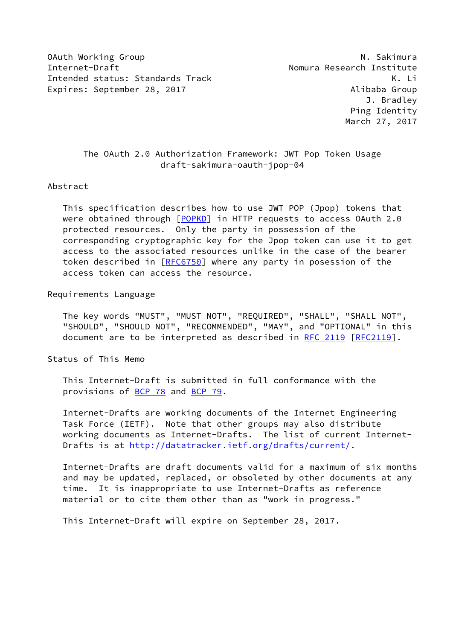OAuth Working Group National Communication of the United States of the National Communication of the National Communication of the National Communication of the National Communication of the National Communication of the U Internet-Draft Nomura Research Institute Intended status: Standards Track K. Li Expires: September 28, 2017 and the control of the Alibaba Group

# The OAuth 2.0 Authorization Framework: JWT Pop Token Usage draft-sakimura-oauth-jpop-04

### Abstract

 This specification describes how to use JWT POP (Jpop) tokens that were obtained through [[POPKD\]](#page-2-0) in HTTP requests to access OAuth 2.0 protected resources. Only the party in possession of the corresponding cryptographic key for the Jpop token can use it to get access to the associated resources unlike in the case of the bearer token described in [[RFC6750\]](https://datatracker.ietf.org/doc/pdf/rfc6750) where any party in posession of the access token can access the resource.

#### Requirements Language

 The key words "MUST", "MUST NOT", "REQUIRED", "SHALL", "SHALL NOT", "SHOULD", "SHOULD NOT", "RECOMMENDED", "MAY", and "OPTIONAL" in this document are to be interpreted as described in [RFC 2119 \[RFC2119](https://datatracker.ietf.org/doc/pdf/rfc2119)].

Status of This Memo

 This Internet-Draft is submitted in full conformance with the provisions of [BCP 78](https://datatracker.ietf.org/doc/pdf/bcp78) and [BCP 79](https://datatracker.ietf.org/doc/pdf/bcp79).

 Internet-Drafts are working documents of the Internet Engineering Task Force (IETF). Note that other groups may also distribute working documents as Internet-Drafts. The list of current Internet- Drafts is at<http://datatracker.ietf.org/drafts/current/>.

 Internet-Drafts are draft documents valid for a maximum of six months and may be updated, replaced, or obsoleted by other documents at any time. It is inappropriate to use Internet-Drafts as reference material or to cite them other than as "work in progress."

This Internet-Draft will expire on September 28, 2017.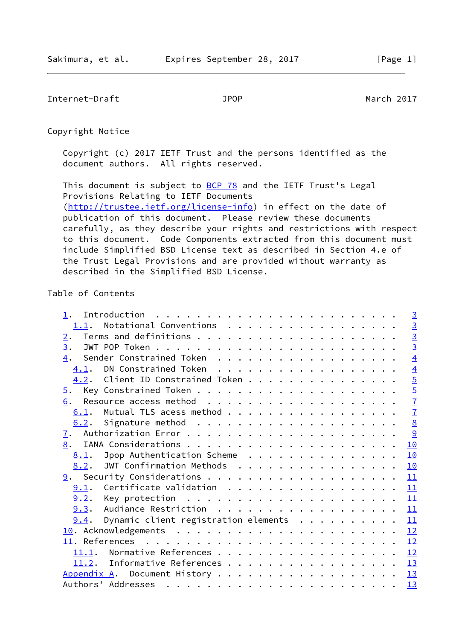Internet-Draft JPOP March 2017

Copyright Notice

 Copyright (c) 2017 IETF Trust and the persons identified as the document authors. All rights reserved.

This document is subject to **[BCP 78](https://datatracker.ietf.org/doc/pdf/bcp78)** and the IETF Trust's Legal Provisions Relating to IETF Documents [\(http://trustee.ietf.org/license-info](http://trustee.ietf.org/license-info)) in effect on the date of publication of this document. Please review these documents carefully, as they describe your rights and restrictions with respect to this document. Code Components extracted from this document must include Simplified BSD License text as described in Section 4.e of the Trust Legal Provisions and are provided without warranty as described in the Simplified BSD License.

# Table of Contents

|       | $\overline{3}$                                                                                                                                                                                                                                                                                                                                                                                                             |
|-------|----------------------------------------------------------------------------------------------------------------------------------------------------------------------------------------------------------------------------------------------------------------------------------------------------------------------------------------------------------------------------------------------------------------------------|
| 1.1.  | $\frac{3}{3}$                                                                                                                                                                                                                                                                                                                                                                                                              |
|       |                                                                                                                                                                                                                                                                                                                                                                                                                            |
|       | $\overline{3}$                                                                                                                                                                                                                                                                                                                                                                                                             |
|       | $\overline{4}$                                                                                                                                                                                                                                                                                                                                                                                                             |
| 4.1.  | $\overline{4}$                                                                                                                                                                                                                                                                                                                                                                                                             |
|       | $\overline{5}$                                                                                                                                                                                                                                                                                                                                                                                                             |
|       | $\overline{5}$                                                                                                                                                                                                                                                                                                                                                                                                             |
|       | $\overline{1}$                                                                                                                                                                                                                                                                                                                                                                                                             |
| 6.1.  | $\overline{1}$                                                                                                                                                                                                                                                                                                                                                                                                             |
| 6.2.  | $\underline{8}$                                                                                                                                                                                                                                                                                                                                                                                                            |
|       | 9                                                                                                                                                                                                                                                                                                                                                                                                                          |
|       | 10                                                                                                                                                                                                                                                                                                                                                                                                                         |
| 8.1.  | 10                                                                                                                                                                                                                                                                                                                                                                                                                         |
| 8.2.  | 10                                                                                                                                                                                                                                                                                                                                                                                                                         |
|       | 11                                                                                                                                                                                                                                                                                                                                                                                                                         |
| 9.1.  | 11                                                                                                                                                                                                                                                                                                                                                                                                                         |
|       | 11                                                                                                                                                                                                                                                                                                                                                                                                                         |
|       | 11                                                                                                                                                                                                                                                                                                                                                                                                                         |
| 9.4.  | 11                                                                                                                                                                                                                                                                                                                                                                                                                         |
|       | 12                                                                                                                                                                                                                                                                                                                                                                                                                         |
|       | 12                                                                                                                                                                                                                                                                                                                                                                                                                         |
| 11.1. | 12                                                                                                                                                                                                                                                                                                                                                                                                                         |
|       | 13                                                                                                                                                                                                                                                                                                                                                                                                                         |
|       | 13                                                                                                                                                                                                                                                                                                                                                                                                                         |
|       | 13                                                                                                                                                                                                                                                                                                                                                                                                                         |
|       | Notational Conventions<br>2.<br>3.<br>Sender Constrained Token<br>4.<br>DN Constrained Token<br>4.2. Client ID Constrained Token<br>$\overline{5}$ .<br>6.<br>Mutual TLS acess method<br>7.<br>8.<br>Jpop Authentication Scheme<br>JWT Confirmation Methods<br>Certificate validation<br>9.3. Audiance Restriction<br>Dynamic client registration elements<br>11.2. Informative References<br>Appendix A. Document History |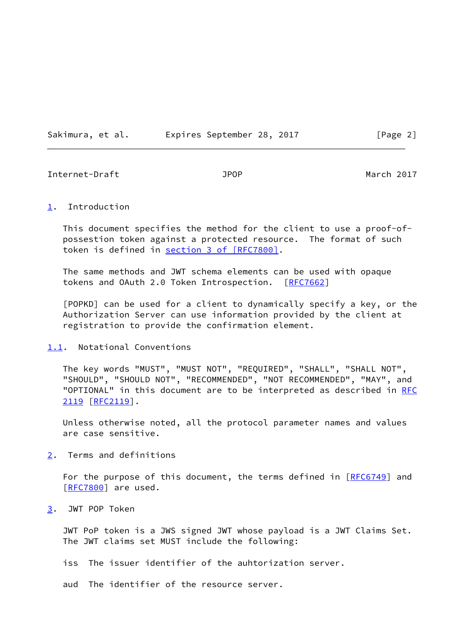Sakimura, et al. 
Expires September 28, 2017
[Page 2]

<span id="page-2-2"></span>Internet-Draft JPOP March 2017

<span id="page-2-1"></span>[1](#page-2-1). Introduction

 This document specifies the method for the client to use a proof-of possestion token against a protected resource. The format of such token is defined in section [3 of \[RFC7800\]](https://datatracker.ietf.org/doc/pdf/rfc7800#section-3).

 The same methods and JWT schema elements can be used with opaque tokens and OAuth 2.0 Token Introspection. [[RFC7662\]](https://datatracker.ietf.org/doc/pdf/rfc7662)

<span id="page-2-0"></span> [POPKD] can be used for a client to dynamically specify a key, or the Authorization Server can use information provided by the client at registration to provide the confirmation element.

### <span id="page-2-3"></span>[1.1](#page-2-3). Notational Conventions

 The key words "MUST", "MUST NOT", "REQUIRED", "SHALL", "SHALL NOT", "SHOULD", "SHOULD NOT", "RECOMMENDED", "NOT RECOMMENDED", "MAY", and "OPTIONAL" in this document are to be interpreted as described in [RFC](https://datatracker.ietf.org/doc/pdf/rfc2119) [2119](https://datatracker.ietf.org/doc/pdf/rfc2119) [\[RFC2119](https://datatracker.ietf.org/doc/pdf/rfc2119)].

 Unless otherwise noted, all the protocol parameter names and values are case sensitive.

<span id="page-2-4"></span>[2](#page-2-4). Terms and definitions

For the purpose of this document, the terms defined in [\[RFC6749](https://datatracker.ietf.org/doc/pdf/rfc6749)] and [\[RFC7800](https://datatracker.ietf.org/doc/pdf/rfc7800)] are used.

<span id="page-2-5"></span>[3](#page-2-5). JWT POP Token

 JWT PoP token is a JWS signed JWT whose payload is a JWT Claims Set. The JWT claims set MUST include the following:

iss The issuer identifier of the auhtorization server.

aud The identifier of the resource server.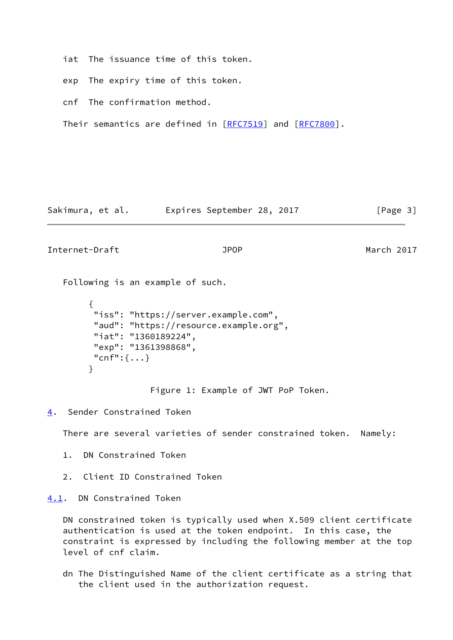iat The issuance time of this token.

exp The expiry time of this token.

cnf The confirmation method.

Their semantics are defined in [\[RFC7519](https://datatracker.ietf.org/doc/pdf/rfc7519)] and [\[RFC7800](https://datatracker.ietf.org/doc/pdf/rfc7800)].

Sakimura, et al. Expires September 28, 2017 [Page 3]

<span id="page-3-1"></span>Internet-Draft JPOP March 2017

Following is an example of such.

```
\overline{\mathcal{L}} "iss": "https://server.example.com",
          "aud": "https://resource.example.org",
          "iat": "1360189224",
          "exp": "1361398868",
          "cnf":{...}
 }
```
Figure 1: Example of JWT PoP Token.

<span id="page-3-0"></span>[4](#page-3-0). Sender Constrained Token

There are several varieties of sender constrained token. Namely:

- 1. DN Constrained Token
- 2. Client ID Constrained Token

<span id="page-3-2"></span>[4.1](#page-3-2). DN Constrained Token

 DN constrained token is typically used when X.509 client certificate authentication is used at the token endpoint. In this case, the constraint is expressed by including the following member at the top level of cnf claim.

 dn The Distinguished Name of the client certificate as a string that the client used in the authorization request.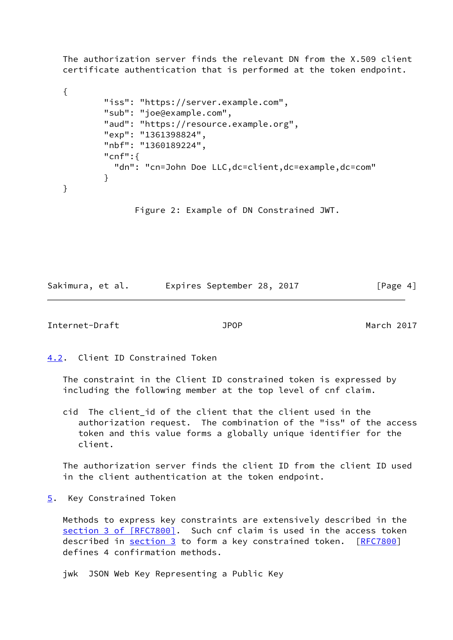The authorization server finds the relevant DN from the X.509 client certificate authentication that is performed at the token endpoint.

```
 {
            "iss": "https://server.example.com",
            "sub": "joe@example.com",
            "aud": "https://resource.example.org",
            "exp": "1361398824",
            "nbf": "1360189224",
            "cnf":{
              "dn": "cn=John Doe LLC,dc=client,dc=example,dc=com"
 }
   }
```
Figure 2: Example of DN Constrained JWT.

Sakimura, et al. Expires September 28, 2017 [Page 4]

<span id="page-4-1"></span>Internet-Draft JPOP March 2017

<span id="page-4-0"></span>[4.2](#page-4-0). Client ID Constrained Token

 The constraint in the Client ID constrained token is expressed by including the following member at the top level of cnf claim.

 cid The client\_id of the client that the client used in the authorization request. The combination of the "iss" of the access token and this value forms a globally unique identifier for the client.

 The authorization server finds the client ID from the client ID used in the client authentication at the token endpoint.

<span id="page-4-2"></span>[5](#page-4-2). Key Constrained Token

 Methods to express key constraints are extensively described in the section [3 of \[RFC7800\]](https://datatracker.ietf.org/doc/pdf/rfc7800#section-3). Such cnf claim is used in the access token described in [section 3](#page-2-5) to form a key constrained token. [\[RFC7800](https://datatracker.ietf.org/doc/pdf/rfc7800)] defines 4 confirmation methods.

jwk JSON Web Key Representing a Public Key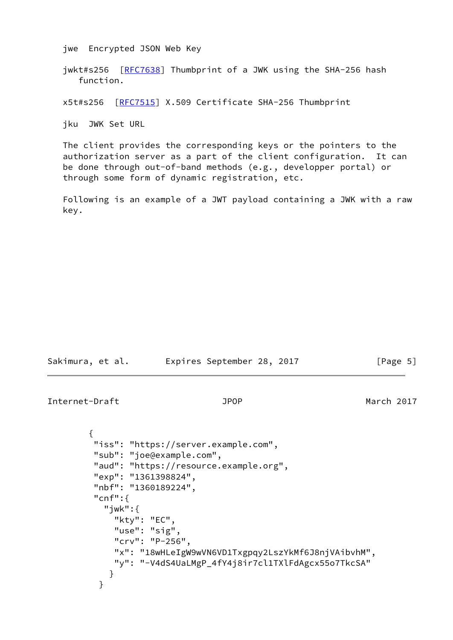jwe Encrypted JSON Web Key

jwkt#s256 [[RFC7638\]](https://datatracker.ietf.org/doc/pdf/rfc7638) Thumbprint of a JWK using the SHA-256 hash function.

x5t#s256 [[RFC7515](https://datatracker.ietf.org/doc/pdf/rfc7515)] X.509 Certificate SHA-256 Thumbprint

jku JWK Set URL

 The client provides the corresponding keys or the pointers to the authorization server as a part of the client configuration. It can be done through out-of-band methods (e.g., developper portal) or through some form of dynamic registration, etc.

 Following is an example of a JWT payload containing a JWK with a raw key.

| Sakimura, et al. |  | Expires September 28, 2017 |  |  | [Page 5] |
|------------------|--|----------------------------|--|--|----------|
|------------------|--|----------------------------|--|--|----------|

Internet-Draft JPOP March 2017

```
 {
         "iss": "https://server.example.com",
         "sub": "joe@example.com",
         "aud": "https://resource.example.org",
         "exp": "1361398824",
         "nbf": "1360189224",
         "cnf":{
            "jwk":{
             "kty": "EC",
             "use": "sig",
              "crv": "P-256",
             "x": "18wHLeIgW9wVN6VD1Txgpqy2LszYkMf6J8njVAibvhM",
             "y": "-V4dS4UaLMgP_4fY4j8ir7cl1TXlFdAgcx55o7TkcSA"
 }
 }
```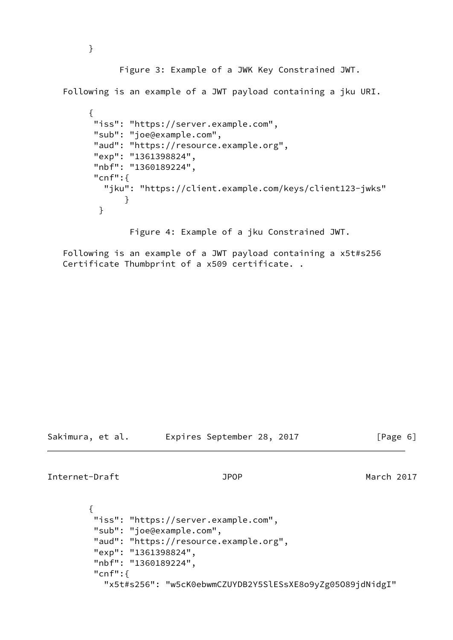Figure 3: Example of a JWK Key Constrained JWT.

Following is an example of a JWT payload containing a jku URI.

```
 {
         "iss": "https://server.example.com",
         "sub": "joe@example.com",
         "aud": "https://resource.example.org",
         "exp": "1361398824",
         "nbf": "1360189224",
         "cnf":{
           "jku": "https://client.example.com/keys/client123-jwks"
 }
 }
```
Figure 4: Example of a jku Constrained JWT.

 Following is an example of a JWT payload containing a x5t#s256 Certificate Thumbprint of a x509 certificate. .

Sakimura, et al. Expires September 28, 2017 [Page 6]

<span id="page-6-0"></span>Internet-Draft JPOP March 2017

```
\overline{\mathcal{L}} "iss": "https://server.example.com",
          "sub": "joe@example.com",
          "aud": "https://resource.example.org",
          "exp": "1361398824",
          "nbf": "1360189224",
          "cnf":{
             "x5t#s256": "w5cK0ebwmCZUYDB2Y5SlESsXE8o9yZg05O89jdNidgI"
```
}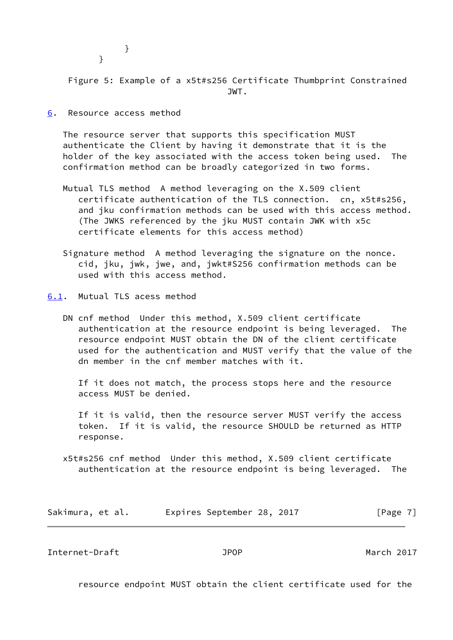}

}

 Figure 5: Example of a x5t#s256 Certificate Thumbprint Constrained JWT.

<span id="page-7-0"></span>[6](#page-7-0). Resource access method

 The resource server that supports this specification MUST authenticate the Client by having it demonstrate that it is the holder of the key associated with the access token being used. The confirmation method can be broadly categorized in two forms.

- Mutual TLS method A method leveraging on the X.509 client certificate authentication of the TLS connection. cn, x5t#s256, and jku confirmation methods can be used with this access method. (The JWKS referenced by the jku MUST contain JWK with x5c certificate elements for this access method)
- Signature method A method leveraging the signature on the nonce. cid, jku, jwk, jwe, and, jwkt#S256 confirmation methods can be used with this access method.
- <span id="page-7-1"></span>[6.1](#page-7-1). Mutual TLS acess method
	- DN cnf method Under this method, X.509 client certificate authentication at the resource endpoint is being leveraged. The resource endpoint MUST obtain the DN of the client certificate used for the authentication and MUST verify that the value of the dn member in the cnf member matches with it.

 If it does not match, the process stops here and the resource access MUST be denied.

 If it is valid, then the resource server MUST verify the access token. If it is valid, the resource SHOULD be returned as HTTP response.

 x5t#s256 cnf method Under this method, X.509 client certificate authentication at the resource endpoint is being leveraged. The

| Sakimura, et al. |  | Expires September 28, 2017 |  |  | [Page 7] |  |
|------------------|--|----------------------------|--|--|----------|--|
|------------------|--|----------------------------|--|--|----------|--|

<span id="page-7-2"></span>Internet-Draft JPOP March 2017

resource endpoint MUST obtain the client certificate used for the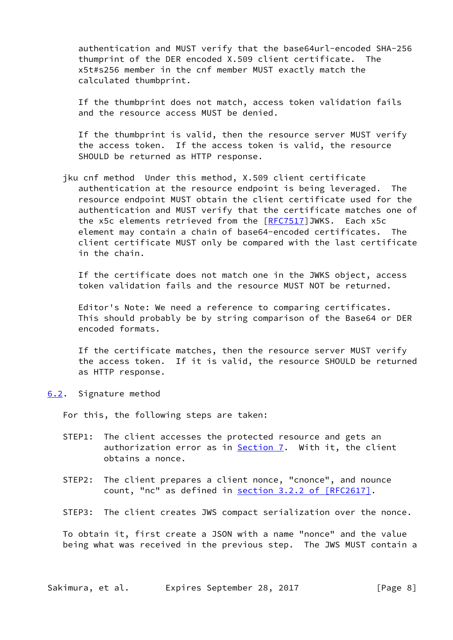authentication and MUST verify that the base64url-encoded SHA-256 thumprint of the DER encoded X.509 client certificate. The x5t#s256 member in the cnf member MUST exactly match the calculated thumbprint.

 If the thumbprint does not match, access token validation fails and the resource access MUST be denied.

 If the thumbprint is valid, then the resource server MUST verify the access token. If the access token is valid, the resource SHOULD be returned as HTTP response.

 jku cnf method Under this method, X.509 client certificate authentication at the resource endpoint is being leveraged. The resource endpoint MUST obtain the client certificate used for the authentication and MUST verify that the certificate matches one of the x5c elements retrieved from the [\[RFC7517](https://datatracker.ietf.org/doc/pdf/rfc7517)]JWKS. Each x5c element may contain a chain of base64-encoded certificates. The client certificate MUST only be compared with the last certificate in the chain.

 If the certificate does not match one in the JWKS object, access token validation fails and the resource MUST NOT be returned.

 Editor's Note: We need a reference to comparing certificates. This should probably be by string comparison of the Base64 or DER encoded formats.

 If the certificate matches, then the resource server MUST verify the access token. If it is valid, the resource SHOULD be returned as HTTP response.

<span id="page-8-0"></span>[6.2](#page-8-0). Signature method

For this, the following steps are taken:

- STEP1: The client accesses the protected resource and gets an authorization error as in [Section 7.](#page-9-0) With it, the client obtains a nonce.
- STEP2: The client prepares a client nonce, "cnonce", and nounce count, "nc" as defined in section [3.2.2 of \[RFC2617\].](https://datatracker.ietf.org/doc/pdf/rfc2617#section-3.2.2)
- STEP3: The client creates JWS compact serialization over the nonce.

 To obtain it, first create a JSON with a name "nonce" and the value being what was received in the previous step. The JWS MUST contain a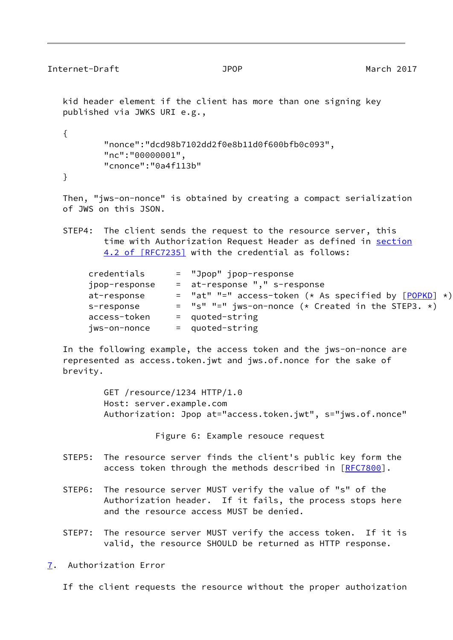```
Internet-Draft JPOP March 2017
   kid header element if the client has more than one signing key
   published via JWKS URI e.g.,
   {
          "nonce":"dcd98b7102dd2f0e8b11d0f600bfb0c093",
          "nc":"00000001",
          "cnonce":"0a4f113b"
```
}

 Then, "jws-on-nonce" is obtained by creating a compact serialization of JWS on this JSON.

 STEP4: The client sends the request to the resource server, this time with Authorization Request Header as defined in [section](https://datatracker.ietf.org/doc/pdf/rfc7235#section-4.2) [4.2 of \[RFC7235\]](https://datatracker.ietf.org/doc/pdf/rfc7235#section-4.2) with the credential as follows:

| credentials   | = "Jpop" jpop-response                                    |
|---------------|-----------------------------------------------------------|
| jpop-response | = at-response "," s-response                              |
| at-response   | $=$ "at" "=" access-token (* As specified by $[POPKD]$ *) |
| s-response    | $=$ "s" "=" jws-on-nonce (* Created in the STEP3. *)      |
| access-token  | $=$ quoted-string                                         |
| jws-on-nonce  | = quoted-string                                           |

 In the following example, the access token and the jws-on-nonce are represented as access.token.jwt and jws.of.nonce for the sake of brevity.

> GET /resource/1234 HTTP/1.0 Host: server.example.com Authorization: Jpop at="access.token.jwt", s="jws.of.nonce"

> > Figure 6: Example resouce request

- STEP5: The resource server finds the client's public key form the access token through the methods described in [[RFC7800](https://datatracker.ietf.org/doc/pdf/rfc7800)].
- STEP6: The resource server MUST verify the value of "s" of the Authorization header. If it fails, the process stops here and the resource access MUST be denied.
- STEP7: The resource server MUST verify the access token. If it is valid, the resource SHOULD be returned as HTTP response.
- <span id="page-9-0"></span>[7](#page-9-0). Authorization Error

If the client requests the resource without the proper authoization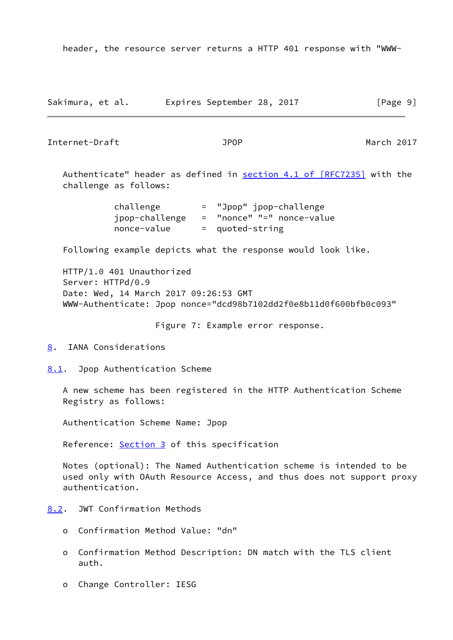header, the resource server returns a HTTP 401 response with "WWW-

| Sakimura, et al. | Expires September 28, 2017 | [Page 9] |
|------------------|----------------------------|----------|
|------------------|----------------------------|----------|

<span id="page-10-1"></span>Internet-Draft JPOP March 2017

Authenticate" header as defined in section [4.1 of \[RFC7235\]](https://datatracker.ietf.org/doc/pdf/rfc7235#section-4.1) with the challenge as follows:

> challenge = "Jpop" jpop-challenge jpop-challenge = "nonce" "=" nonce-value nonce-value = quoted-string

Following example depicts what the response would look like.

 HTTP/1.0 401 Unauthorized Server: HTTPd/0.9 Date: Wed, 14 March 2017 09:26:53 GMT WWW-Authenticate: Jpop nonce="dcd98b7102dd2f0e8b11d0f600bfb0c093"

Figure 7: Example error response.

<span id="page-10-0"></span>[8](#page-10-0). IANA Considerations

<span id="page-10-2"></span>[8.1](#page-10-2). Jpop Authentication Scheme

 A new scheme has been registered in the HTTP Authentication Scheme Registry as follows:

Authentication Scheme Name: Jpop

Reference: [Section 3](#page-2-5) of this specification

 Notes (optional): The Named Authentication scheme is intended to be used only with OAuth Resource Access, and thus does not support proxy authentication.

<span id="page-10-3"></span>[8.2](#page-10-3). JWT Confirmation Methods

- o Confirmation Method Value: "dn"
- o Confirmation Method Description: DN match with the TLS client auth.
- o Change Controller: IESG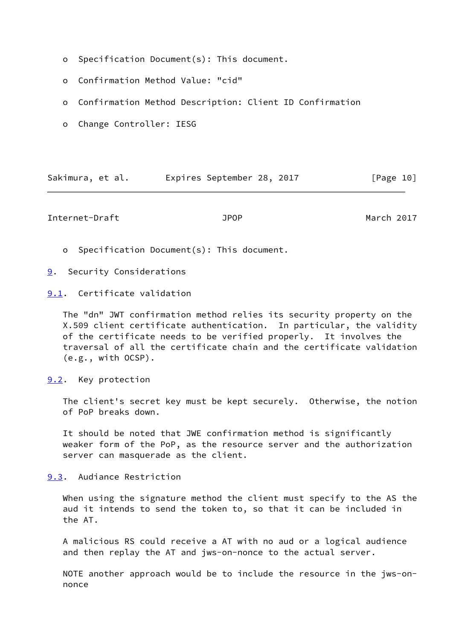- o Specification Document(s): This document.
- o Confirmation Method Value: "cid"
- o Confirmation Method Description: Client ID Confirmation
- o Change Controller: IESG

| Sakimura, et al. | Expires September 28, 2017 | [Page 10] |
|------------------|----------------------------|-----------|
|------------------|----------------------------|-----------|

<span id="page-11-1"></span>Internet-Draft JPOP March 2017

o Specification Document(s): This document.

<span id="page-11-0"></span>[9](#page-11-0). Security Considerations

<span id="page-11-2"></span>[9.1](#page-11-2). Certificate validation

 The "dn" JWT confirmation method relies its security property on the X.509 client certificate authentication. In particular, the validity of the certificate needs to be verified properly. It involves the traversal of all the certificate chain and the certificate validation (e.g., with OCSP).

<span id="page-11-3"></span>[9.2](#page-11-3). Key protection

 The client's secret key must be kept securely. Otherwise, the notion of PoP breaks down.

 It should be noted that JWE confirmation method is significantly weaker form of the PoP, as the resource server and the authorization server can masquerade as the client.

<span id="page-11-4"></span>[9.3](#page-11-4). Audiance Restriction

When using the signature method the client must specify to the AS the aud it intends to send the token to, so that it can be included in the AT.

 A malicious RS could receive a AT with no aud or a logical audience and then replay the AT and jws-on-nonce to the actual server.

 NOTE another approach would be to include the resource in the jws-on nonce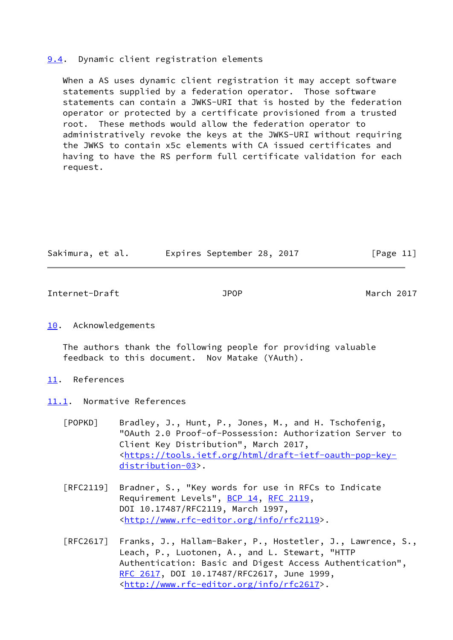### <span id="page-12-0"></span>[9.4](#page-12-0). Dynamic client registration elements

 When a AS uses dynamic client registration it may accept software statements supplied by a federation operator. Those software statements can contain a JWKS-URI that is hosted by the federation operator or protected by a certificate provisioned from a trusted root. These methods would allow the federation operator to administratively revoke the keys at the JWKS-URI without requiring the JWKS to contain x5c elements with CA issued certificates and having to have the RS perform full certificate validation for each request.

| Sakimura, et al. | Expires September 28, 2017 |  | [Page 11] |  |
|------------------|----------------------------|--|-----------|--|
|                  |                            |  |           |  |

<span id="page-12-2"></span>Internet-Draft JPOP March 2017

## <span id="page-12-1"></span>[10.](#page-12-1) Acknowledgements

 The authors thank the following people for providing valuable feedback to this document. Nov Matake (YAuth).

- <span id="page-12-3"></span>[11.](#page-12-3) References
- <span id="page-12-4"></span>[11.1](#page-12-4). Normative References
	- [POPKD] Bradley, J., Hunt, P., Jones, M., and H. Tschofenig, "OAuth 2.0 Proof-of-Possession: Authorization Server to Client Key Distribution", March 2017, <[https://tools.ietf.org/html/draft-ietf-oauth-pop-key](https://tools.ietf.org/html/draft-ietf-oauth-pop-key-distribution-03) [distribution-03](https://tools.ietf.org/html/draft-ietf-oauth-pop-key-distribution-03)>.
	- [RFC2119] Bradner, S., "Key words for use in RFCs to Indicate Requirement Levels", [BCP 14](https://datatracker.ietf.org/doc/pdf/bcp14), [RFC 2119](https://datatracker.ietf.org/doc/pdf/rfc2119), DOI 10.17487/RFC2119, March 1997, <<http://www.rfc-editor.org/info/rfc2119>>.
	- [RFC2617] Franks, J., Hallam-Baker, P., Hostetler, J., Lawrence, S., Leach, P., Luotonen, A., and L. Stewart, "HTTP Authentication: Basic and Digest Access Authentication", [RFC 2617,](https://datatracker.ietf.org/doc/pdf/rfc2617) DOI 10.17487/RFC2617, June 1999, <<http://www.rfc-editor.org/info/rfc2617>>.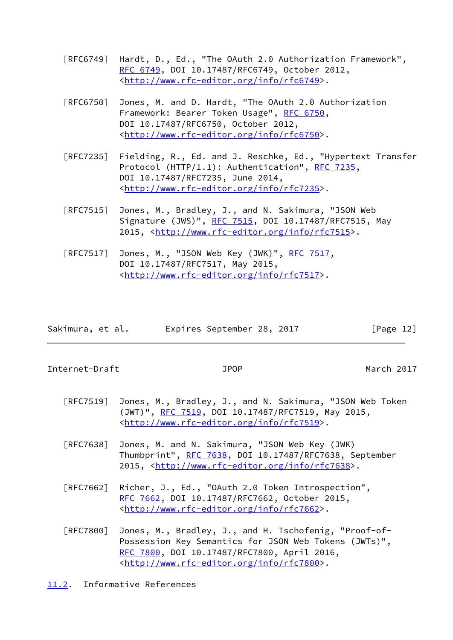- [RFC6749] Hardt, D., Ed., "The OAuth 2.0 Authorization Framework", [RFC 6749,](https://datatracker.ietf.org/doc/pdf/rfc6749) DOI 10.17487/RFC6749, October 2012, <<http://www.rfc-editor.org/info/rfc6749>>.
- [RFC6750] Jones, M. and D. Hardt, "The OAuth 2.0 Authorization Framework: Bearer Token Usage", [RFC 6750,](https://datatracker.ietf.org/doc/pdf/rfc6750) DOI 10.17487/RFC6750, October 2012, <<http://www.rfc-editor.org/info/rfc6750>>.
- [RFC7235] Fielding, R., Ed. and J. Reschke, Ed., "Hypertext Transfer Protocol (HTTP/1.1): Authentication", [RFC 7235](https://datatracker.ietf.org/doc/pdf/rfc7235), DOI 10.17487/RFC7235, June 2014, <<http://www.rfc-editor.org/info/rfc7235>>.
- [RFC7515] Jones, M., Bradley, J., and N. Sakimura, "JSON Web Signature (JWS)", [RFC 7515](https://datatracker.ietf.org/doc/pdf/rfc7515), DOI 10.17487/RFC7515, May 2015, [<http://www.rfc-editor.org/info/rfc7515](http://www.rfc-editor.org/info/rfc7515)>.
- [RFC7517] Jones, M., "JSON Web Key (JWK)", [RFC 7517,](https://datatracker.ietf.org/doc/pdf/rfc7517) DOI 10.17487/RFC7517, May 2015, <<http://www.rfc-editor.org/info/rfc7517>>.

| Sakimura, et al. |  | Expires September 28, 2017 |  | [Page 12] |  |
|------------------|--|----------------------------|--|-----------|--|
|                  |  |                            |  |           |  |

<span id="page-13-1"></span>Internet-Draft JPOP March 2017

- [RFC7519] Jones, M., Bradley, J., and N. Sakimura, "JSON Web Token (JWT)", [RFC 7519,](https://datatracker.ietf.org/doc/pdf/rfc7519) DOI 10.17487/RFC7519, May 2015, <<http://www.rfc-editor.org/info/rfc7519>>.
- [RFC7638] Jones, M. and N. Sakimura, "JSON Web Key (JWK) Thumbprint", [RFC 7638](https://datatracker.ietf.org/doc/pdf/rfc7638), DOI 10.17487/RFC7638, September 2015, [<http://www.rfc-editor.org/info/rfc7638](http://www.rfc-editor.org/info/rfc7638)>.
- [RFC7662] Richer, J., Ed., "OAuth 2.0 Token Introspection", [RFC 7662,](https://datatracker.ietf.org/doc/pdf/rfc7662) DOI 10.17487/RFC7662, October 2015, <<http://www.rfc-editor.org/info/rfc7662>>.
- [RFC7800] Jones, M., Bradley, J., and H. Tschofenig, "Proof-of- Possession Key Semantics for JSON Web Tokens (JWTs)", [RFC 7800,](https://datatracker.ietf.org/doc/pdf/rfc7800) DOI 10.17487/RFC7800, April 2016, <<http://www.rfc-editor.org/info/rfc7800>>.
- <span id="page-13-0"></span>[11.2](#page-13-0). Informative References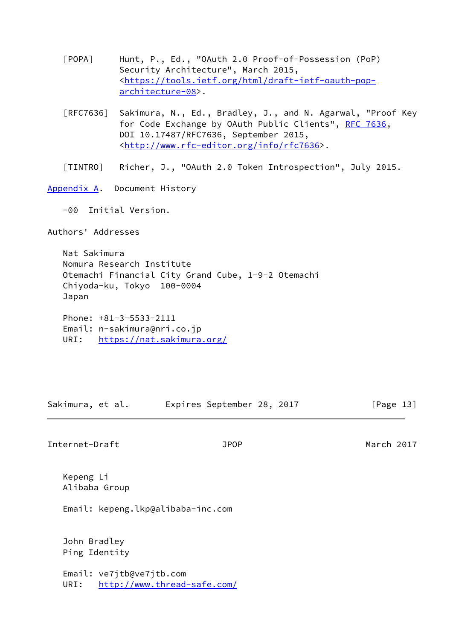[POPA] Hunt, P., Ed., "OAuth 2.0 Proof-of-Possession (PoP) Security Architecture", March 2015, <[https://tools.ietf.org/html/draft-ietf-oauth-pop](https://tools.ietf.org/html/draft-ietf-oauth-pop-architecture-08) [architecture-08](https://tools.ietf.org/html/draft-ietf-oauth-pop-architecture-08)>.

- [RFC7636] Sakimura, N., Ed., Bradley, J., and N. Agarwal, "Proof Key for Code Exchange by OAuth Public Clients", [RFC 7636,](https://datatracker.ietf.org/doc/pdf/rfc7636) DOI 10.17487/RFC7636, September 2015, <<http://www.rfc-editor.org/info/rfc7636>>.
- [TINTRO] Richer, J., "OAuth 2.0 Token Introspection", July 2015.

<span id="page-14-0"></span>[Appendix A.](#page-14-0) Document History

-00 Initial Version.

Authors' Addresses

 Nat Sakimura Nomura Research Institute Otemachi Financial City Grand Cube, 1-9-2 Otemachi Chiyoda-ku, Tokyo 100-0004 Japan

 Phone: +81-3-5533-2111 Email: n-sakimura@nri.co.jp URI: <https://nat.sakimura.org/>

Sakimura, et al. Expires September 28, 2017 [Page 13]

Internet-Draft JPOP March 2017

 Kepeng Li Alibaba Group

Email: kepeng.lkp@alibaba-inc.com

 John Bradley Ping Identity

 Email: ve7jtb@ve7jtb.com URI: <http://www.thread-safe.com/>